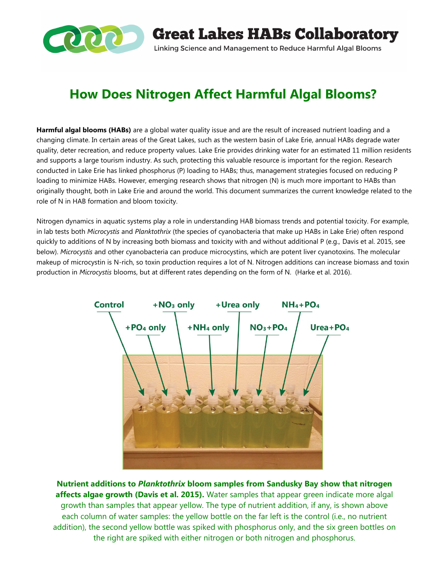

**Great Lakes HABs Collaboratory** Linking Science and Management to Reduce Harmful Algal Blooms

# **How Does Nitrogen Affect Harmful Algal Blooms?**

**Harmful algal blooms (HABs)** are a global water quality issue and are the result of increased nutrient loading and a changing climate. In certain areas of the Great Lakes, such as the western basin of Lake Erie, annual HABs degrade water quality, deter recreation, and reduce property values. Lake Erie provides drinking water for an estimated 11 million residents and supports a large tourism industry. As such, protecting this valuable resource is important for the region. Research conducted in Lake Erie has linked phosphorus (P) loading to HABs; thus, management strategies focused on reducing P loading to minimize HABs. However, emerging research shows that nitrogen (N) is much more important to HABs than originally thought, both in Lake Erie and around the world. This document summarizes the current knowledge related to the role of N in HAB formation and bloom toxicity.

Nitrogen dynamics in aquatic systems play a role in understanding HAB biomass trends and potential toxicity. For example, in lab tests both *Microcystis* and *Planktothrix* (the species of cyanobacteria that make up HABs in Lake Erie) often respond quickly to additions of N by increasing both biomass and toxicity with and without additional P (e.g., Davis et al. 2015, see below). *Microcystis* and other cyanobacteria can produce microcystins, which are potent liver cyanotoxins. The molecular makeup of microcystin is N-rich, so toxin production requires a lot of N. Nitrogen additions can increase biomass and toxin production in *Microcystis* blooms, but at different rates depending on the form of N. (Harke et al. 2016).



**Nutrient additions to** *Planktothrix* **bloom samples from Sandusky Bay show that nitrogen affects algae growth (Davis et al. 2015).** Water samples that appear green indicate more algal growth than samples that appear yellow. The type of nutrient addition, if any, is shown above each column of water samples: the yellow bottle on the far left is the control (i.e., no nutrient addition), the second yellow bottle was spiked with phosphorus only, and the six green bottles on the right are spiked with either nitrogen or both nitrogen and phosphorus.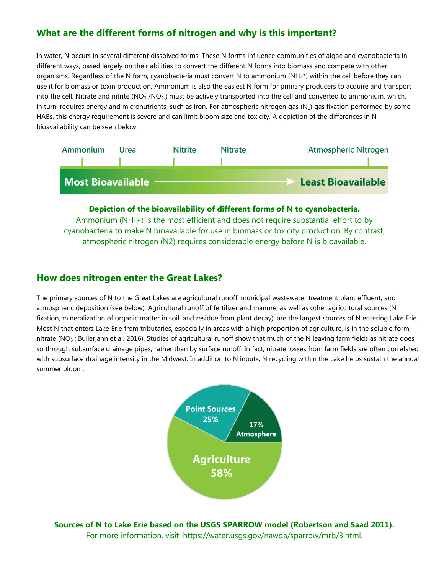# **What are the different forms of nitrogen and why is this important?**

In water, N occurs in several different dissolved forms. These N forms influence communities of algae and cyanobacteria in different ways, based largely on their abilities to convert the different N forms into biomass and compete with other organisms. Regardless of the N form, cyanobacteria must convert N to ammonium (NH<sub>4</sub>+) within the cell before they can use it for biomass or toxin production. Ammonium is also the easiest N form for primary producers to acquire and transport into the cell. Nitrate and nitrite ( $NO_3/NO_2$ ) must be actively transported into the cell and converted to ammonium, which, in turn, requires energy and micronutrients, such as iron. For atmospheric nitrogen gas  $(N_2)$  gas fixation performed by some HABs, this energy requirement is severe and can limit bloom size and toxicity. A depiction of the differences in N bioavailability can be seen below.



**Depiction of the bioavailability of different forms of N to cyanobacteria.**  Ammonium  $(NH_4+)$  is the most efficient and does not require substantial effort to by cyanobacteria to make N bioavailable for use in biomass or toxicity production. By contrast, atmospheric nitrogen (N2) requires considerable energy before N is bioavailable.

#### **How does nitrogen enter the Great Lakes?**

The primary sources of N to the Great Lakes are agricultural runoff, municipal wastewater treatment plant effluent, and atmospheric deposition (see below). Agricultural runoff of fertilizer and manure, as well as other agricultural sources (N fixation, mineralization of organic matter in soil, and residue from plant decay), are the largest sources of N entering Lake Erie. Most N that enters Lake Erie from tributaries, especially in areas with a high proportion of agriculture, is in the soluble form, nitrate (NO<sub>3</sub>; Bullerjahn et al. 2016). Studies of agricultural runoff show that much of the N leaving farm fields as nitrate does so through subsurface drainage pipes, rather than by surface runoff. In fact, nitrate losses from farm fields are often correlated with subsurface drainage intensity in the Midwest. In addition to N inputs, N recycling within the Lake helps sustain the annual summer bloom.



**Sources of N to Lake Erie based on the USGS SPARROW model (Robertson and Saad 2011).**  For more information, visit: https://water.usgs.gov/nawqa/sparrow/mrb/3.html.